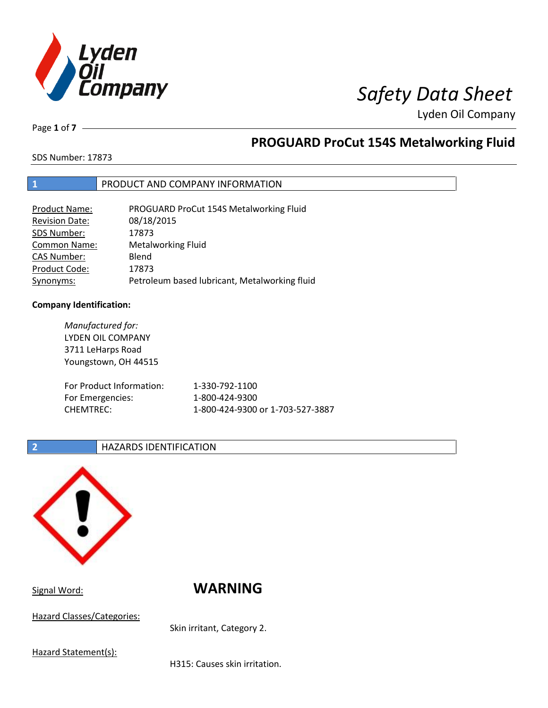

Page **1** of **7**

## **PROGUARD ProCut 154S Metalworking Fluid**

SDS Number: 17873

### **1** PRODUCT AND COMPANY INFORMATION

| <b>Product Name:</b>  | PROGUARD ProCut 154S Metalworking Fluid       |
|-----------------------|-----------------------------------------------|
| <b>Revision Date:</b> | 08/18/2015                                    |
| SDS Number:           | 17873                                         |
| <b>Common Name:</b>   | <b>Metalworking Fluid</b>                     |
| <b>CAS Number:</b>    | Blend                                         |
| Product Code:         | 17873                                         |
| Synonyms:             | Petroleum based lubricant, Metalworking fluid |

### **Company Identification:**

*Manufactured for:* LYDEN OIL COMPANY 3711 LeHarps Road Youngstown, OH 44515 For Product Information: 1-330-792-1100 For Emergencies: 1-800-424-9300 CHEMTREC: 1-800-424-9300 or 1-703-527-3887

### **2 HAZARDS IDENTIFICATION**



Signal Word: **WARNING**

Hazard Classes/Categories:

Skin irritant, Category 2.

Hazard Statement(s):

H315: Causes skin irritation.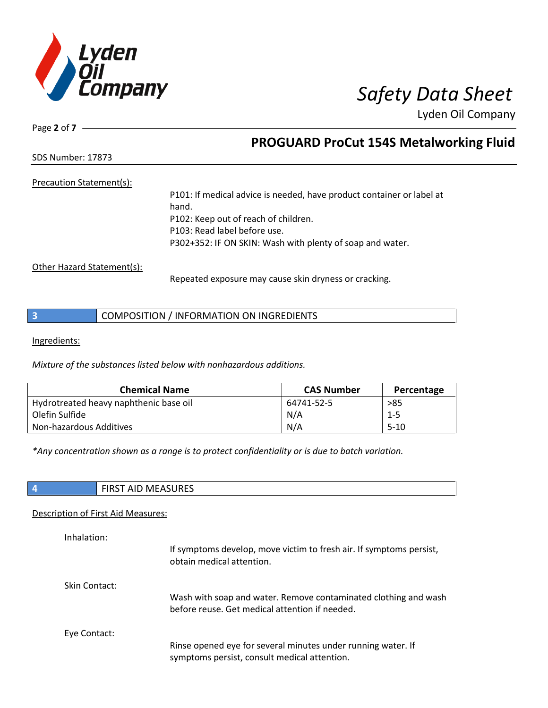

Page **2** of **7**

## **PROGUARD ProCut 154S Metalworking Fluid**

SDS Number: 17873

### Precaution Statement(s):

P101: If medical advice is needed, have product container or label at hand. P102: Keep out of reach of children. P103: Read label before use. P302+352: IF ON SKIN: Wash with plenty of soap and water.

Other Hazard Statement(s):

Repeated exposure may cause skin dryness or cracking.

Ingredients:

*Mixture of the substances listed below with nonhazardous additions.*

| <b>Chemical Name</b>                   | <b>CAS Number</b> | Percentage |
|----------------------------------------|-------------------|------------|
| Hydrotreated heavy naphthenic base oil | 64741-52-5        | >85        |
| Olefin Sulfide                         | N/A               | $1 - 5$    |
| Non-hazardous Additives                | N/A               | $5-10$     |

*\*Any concentration shown as a range is to protect confidentiality or is due to batch variation.*

| ATACIDFC<br>. I F<br><b>TIP</b><br>.<br>177 L E<br>ᆡᄓ<br>. |
|------------------------------------------------------------|
|------------------------------------------------------------|

### Description of First Aid Measures:

| Inhalation:   | If symptoms develop, move victim to fresh air. If symptoms persist,<br>obtain medical attention.                  |
|---------------|-------------------------------------------------------------------------------------------------------------------|
| Skin Contact: | Wash with soap and water. Remove contaminated clothing and wash<br>before reuse. Get medical attention if needed. |
| Eye Contact:  | Rinse opened eye for several minutes under running water. If<br>symptoms persist, consult medical attention.      |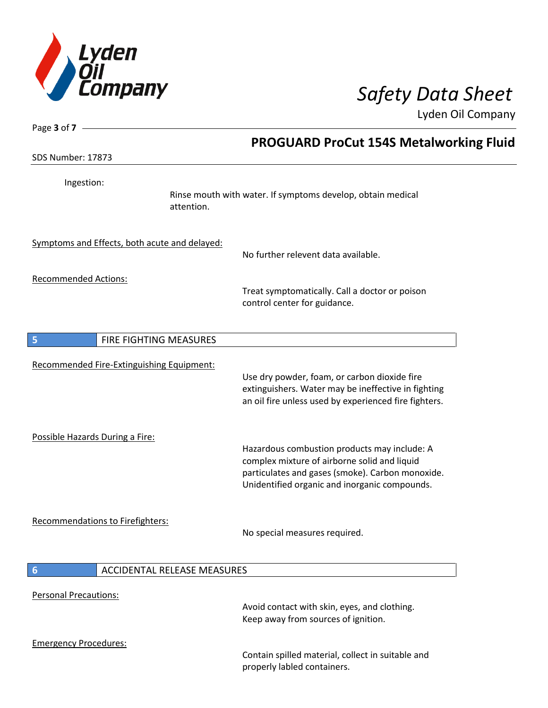

| Page 3 of 7 -                                 |                                                                                                                                                                                                   |
|-----------------------------------------------|---------------------------------------------------------------------------------------------------------------------------------------------------------------------------------------------------|
|                                               | <b>PROGUARD ProCut 154S Metalworking Fluid</b>                                                                                                                                                    |
| SDS Number: 17873                             |                                                                                                                                                                                                   |
| Ingestion:                                    | Rinse mouth with water. If symptoms develop, obtain medical<br>attention.                                                                                                                         |
| Symptoms and Effects, both acute and delayed: | No further relevent data available.                                                                                                                                                               |
| <b>Recommended Actions:</b>                   | Treat symptomatically. Call a doctor or poison<br>control center for guidance.                                                                                                                    |
| FIRE FIGHTING MEASURES<br>5                   |                                                                                                                                                                                                   |
| Recommended Fire-Extinguishing Equipment:     | Use dry powder, foam, or carbon dioxide fire<br>extinguishers. Water may be ineffective in fighting<br>an oil fire unless used by experienced fire fighters.                                      |
| Possible Hazards During a Fire:               | Hazardous combustion products may include: A<br>complex mixture of airborne solid and liquid<br>particulates and gases (smoke). Carbon monoxide.<br>Unidentified organic and inorganic compounds. |
| Recommendations to Firefighters:              | No special measures required.                                                                                                                                                                     |
| $6\phantom{1}6$                               | <b>ACCIDENTAL RELEASE MEASURES</b>                                                                                                                                                                |
| <b>Personal Precautions:</b>                  | Avoid contact with skin, eyes, and clothing.<br>Keep away from sources of ignition.                                                                                                               |
| <b>Emergency Procedures:</b>                  | Contain spilled material, collect in suitable and<br>properly labled containers.                                                                                                                  |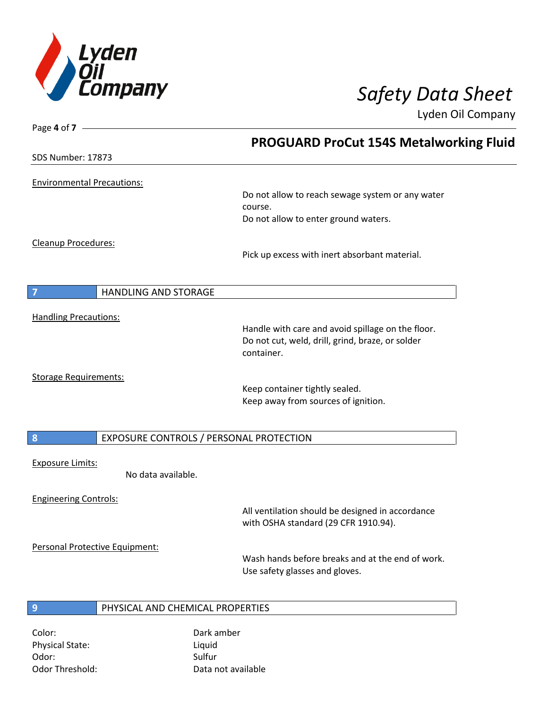

Page **4** of **7**

Lyden Oil Company

|                                                             | <b>PROGUARD ProCut 154S Metalworking Fluid</b>                                           |
|-------------------------------------------------------------|------------------------------------------------------------------------------------------|
| <b>SDS Number: 17873</b>                                    |                                                                                          |
| <b>Environmental Precautions:</b>                           |                                                                                          |
|                                                             | Do not allow to reach sewage system or any water                                         |
|                                                             | course.<br>Do not allow to enter ground waters.                                          |
| Cleanup Procedures:                                         |                                                                                          |
|                                                             | Pick up excess with inert absorbant material.                                            |
| 7<br>HANDLING AND STORAGE                                   |                                                                                          |
| <b>Handling Precautions:</b>                                |                                                                                          |
|                                                             | Handle with care and avoid spillage on the floor.                                        |
|                                                             | Do not cut, weld, drill, grind, braze, or solder<br>container.                           |
| <b>Storage Requirements:</b>                                |                                                                                          |
|                                                             | Keep container tightly sealed.<br>Keep away from sources of ignition.                    |
|                                                             |                                                                                          |
| $\boldsymbol{8}$<br>EXPOSURE CONTROLS / PERSONAL PROTECTION |                                                                                          |
| <b>Exposure Limits:</b><br>No data available.               |                                                                                          |
|                                                             |                                                                                          |
| <b>Engineering Controls:</b>                                |                                                                                          |
|                                                             | All ventilation should be designed in accordance<br>with OSHA standard (29 CFR 1910.94). |
| Personal Protective Equipment:                              |                                                                                          |
|                                                             | Wash hands before breaks and at the end of work.<br>Use safety glasses and gloves.       |
|                                                             |                                                                                          |
| PHYSICAL AND CHEMICAL PROPERTIES<br>$\overline{9}$          |                                                                                          |
|                                                             |                                                                                          |

Color: Dark amber Physical State: Liquid Odor: Sulfur Sulfur Sulfur

Odor Threshold: Data not available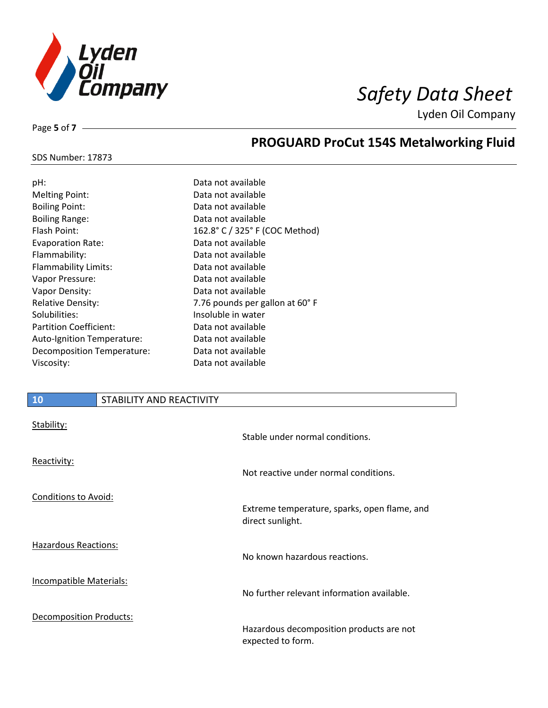

SDS Number: 17873

Page **5** of **7**

## **PROGUARD ProCut 154S Metalworking Fluid**

| pH:                               | Data not available              |
|-----------------------------------|---------------------------------|
| <b>Melting Point:</b>             | Data not available              |
| <b>Boiling Point:</b>             | Data not available              |
| <b>Boiling Range:</b>             | Data not available              |
| Flash Point:                      | 162.8° C / 325° F (COC Method)  |
| <b>Evaporation Rate:</b>          | Data not available              |
| Flammability:                     | Data not available              |
| Flammability Limits:              | Data not available              |
| Vapor Pressure:                   | Data not available              |
| Vapor Density:                    | Data not available              |
| <b>Relative Density:</b>          | 7.76 pounds per gallon at 60° F |
| Solubilities:                     | Insoluble in water              |
| <b>Partition Coefficient:</b>     | Data not available              |
| <b>Auto-Ignition Temperature:</b> | Data not available              |
| Decomposition Temperature:        | Data not available              |
| Viscosity:                        | Data not available              |
|                                   |                                 |

## **10** STABILITY AND REACTIVITY Stability: Stable under normal conditions. Reactivity: Not reactive under normal conditions. Conditions to Avoid: Extreme temperature, sparks, open flame, and direct sunlight. Hazardous Reactions: No known hazardous reactions. Incompatible Materials: No further relevant information available. Decomposition Products: Hazardous decomposition products are not expected to form.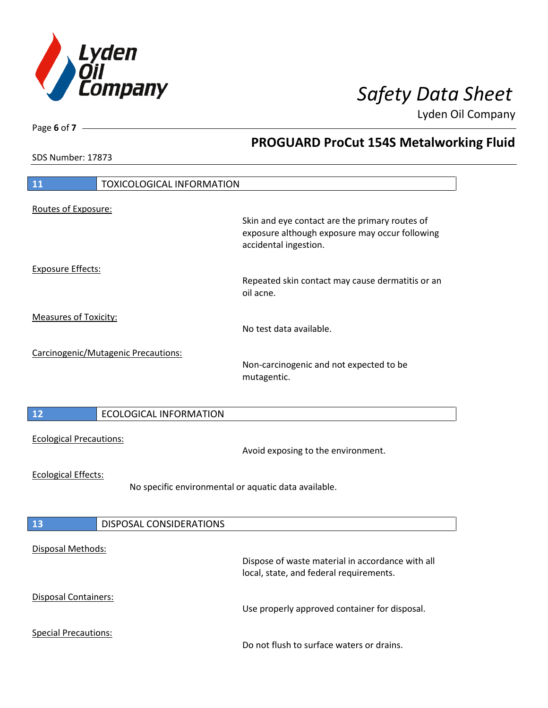

**PROGUARD ProCut 154S Metalworking Fluid**

Lyden Oil Company

SDS Number: 17873

Page **6** of **7**

# **11** TOXICOLOGICAL INFORMATION Routes of Exposure: Skin and eye contact are the primary routes of exposure although exposure may occur following accidental ingestion. Exposure Effects: Repeated skin contact may cause dermatitis or an oil acne. Measures of Toxicity: No test data available. Carcinogenic/Mutagenic Precautions: Non-carcinogenic and not expected to be mutagentic. **12** ECOLOGICAL INFORMATION Ecological Precautions: Avoid exposing to the environment. Ecological Effects: No specific environmental or aquatic data available. **13** DISPOSAL CONSIDERATIONS Disposal Methods: Dispose of waste material in accordance with all local, state, and federal requirements. Disposal Containers: Use properly approved container for disposal. Special Precautions: Do not flush to surface waters or drains.